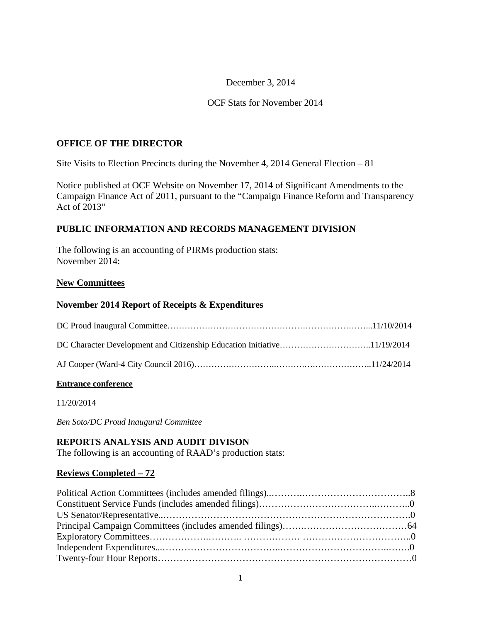#### December 3, 2014

#### OCF Stats for November 2014

#### **OFFICE OF THE DIRECTOR**

Site Visits to Election Precincts during the November 4, 2014 General Election – 81

Notice published at OCF Website on November 17, 2014 of Significant Amendments to the Campaign Finance Act of 2011, pursuant to the "Campaign Finance Reform and Transparency Act of  $2013"$ 

#### **PUBLIC INFORMATION AND RECORDS MANAGEMENT DIVISION**

The following is an accounting of PIRMs production stats: November 2014:

#### **New Committees**

#### **November 2014 Report of Receipts & Expenditures**

#### **Entrance conference**

11/20/2014

*Ben Soto/DC Proud Inaugural Committee*

#### **REPORTS ANALYSIS AND AUDIT DIVISON**

The following is an accounting of RAAD's production stats:

#### **Reviews Completed – 72**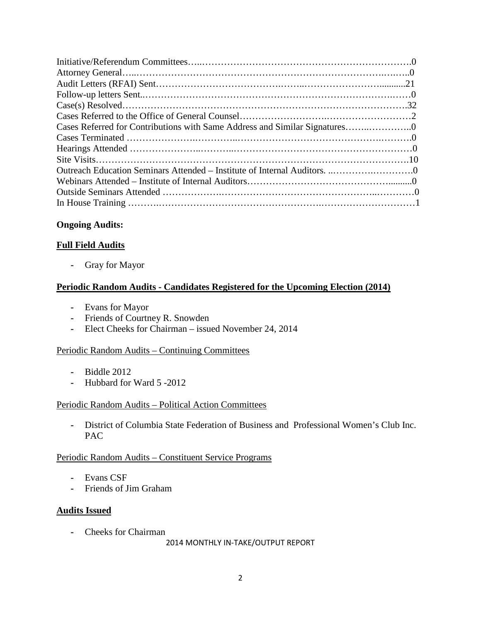# **Ongoing Audits:**

# **Full Field Audits**

**-** Gray for Mayor

# **Periodic Random Audits - Candidates Registered for the Upcoming Election (2014)**

- **-** Evans for Mayor
- **-** Friends of Courtney R. Snowden
- **-** Elect Cheeks for Chairman issued November 24, 2014

#### Periodic Random Audits – Continuing Committees

- **-** Biddle 2012
- **-** Hubbard for Ward 5 -2012

#### Periodic Random Audits – Political Action Committees

**-** District of Columbia State Federation of Business and Professional Women's Club Inc. PAC

#### Periodic Random Audits – Constituent Service Programs

- **-** Evans CSF
- **-** Friends of Jim Graham

#### **Audits Issued**

**-** Cheeks for Chairman

2014 MONTHLY IN-TAKE/OUTPUT REPORT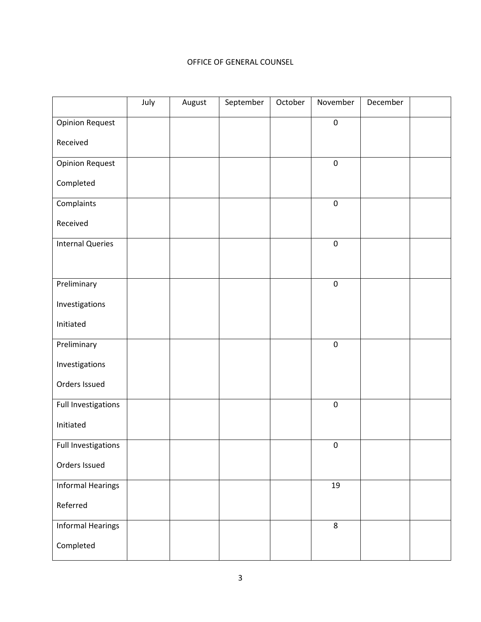#### OFFICE OF GENERAL COUNSEL

|                          | July | August | September | October | November         | December |  |
|--------------------------|------|--------|-----------|---------|------------------|----------|--|
| <b>Opinion Request</b>   |      |        |           |         | $\pmb{0}$        |          |  |
| Received                 |      |        |           |         |                  |          |  |
| <b>Opinion Request</b>   |      |        |           |         | $\pmb{0}$        |          |  |
| Completed                |      |        |           |         |                  |          |  |
| Complaints               |      |        |           |         | $\pmb{0}$        |          |  |
| Received                 |      |        |           |         |                  |          |  |
| <b>Internal Queries</b>  |      |        |           |         | $\boldsymbol{0}$ |          |  |
|                          |      |        |           |         |                  |          |  |
| Preliminary              |      |        |           |         | $\pmb{0}$        |          |  |
| Investigations           |      |        |           |         |                  |          |  |
| Initiated                |      |        |           |         |                  |          |  |
| Preliminary              |      |        |           |         | $\pmb{0}$        |          |  |
| Investigations           |      |        |           |         |                  |          |  |
| Orders Issued            |      |        |           |         |                  |          |  |
| Full Investigations      |      |        |           |         | $\pmb{0}$        |          |  |
| Initiated                |      |        |           |         |                  |          |  |
| Full Investigations      |      |        |           |         | $\pmb{0}$        |          |  |
| Orders Issued            |      |        |           |         |                  |          |  |
| <b>Informal Hearings</b> |      |        |           |         | 19               |          |  |
| Referred                 |      |        |           |         |                  |          |  |
| <b>Informal Hearings</b> |      |        |           |         | 8                |          |  |
| Completed                |      |        |           |         |                  |          |  |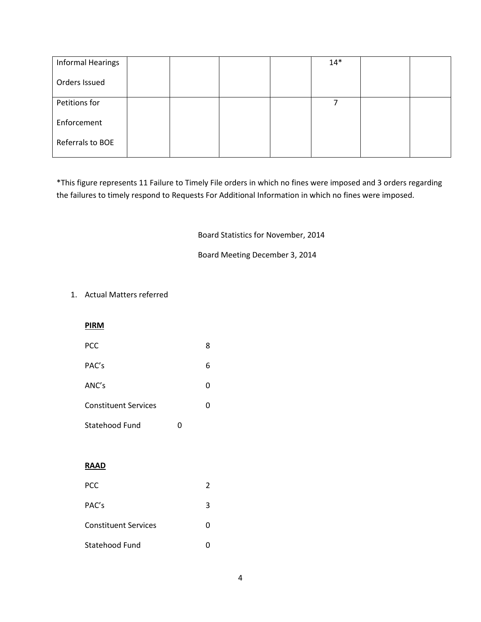| <b>Informal Hearings</b> |  |  | $14*$ |  |
|--------------------------|--|--|-------|--|
| Orders Issued            |  |  |       |  |
| Petitions for            |  |  |       |  |
| Enforcement              |  |  |       |  |
| Referrals to BOE         |  |  |       |  |

\*This figure represents 11 Failure to Timely File orders in which no fines were imposed and 3 orders regarding the failures to timely respond to Requests For Additional Information in which no fines were imposed.

Board Statistics for November, 2014

Board Meeting December 3, 2014

#### 1. Actual Matters referred

#### **PIRM**

| <b>PCC</b>                  | 8 |
|-----------------------------|---|
| PAC's                       | 6 |
| ANC's                       | 0 |
| <b>Constituent Services</b> | U |

Statehood Fund 0

#### **RAAD**

| <b>PCC</b>                  |   |
|-----------------------------|---|
| PAC's                       | ર |
| <b>Constituent Services</b> | 0 |
| Statehood Fund              |   |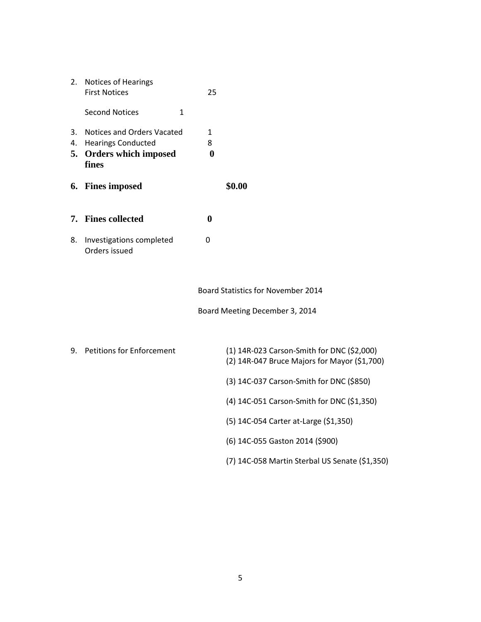| 2.             | Notices of Hearings<br><b>First Notices</b>                                                            | 25                         |                                                                                            |
|----------------|--------------------------------------------------------------------------------------------------------|----------------------------|--------------------------------------------------------------------------------------------|
|                | <b>Second Notices</b><br>1                                                                             |                            |                                                                                            |
| 3.<br>4.<br>5. | <b>Notices and Orders Vacated</b><br><b>Hearings Conducted</b><br><b>Orders which imposed</b><br>fines | 1<br>8<br>$\boldsymbol{0}$ |                                                                                            |
|                | 6. Fines imposed                                                                                       |                            | \$0.00                                                                                     |
|                | 7. Fines collected                                                                                     | $\bf{0}$                   |                                                                                            |
| 8.             | Investigations completed<br>Orders issued                                                              | $\mathbf 0$                |                                                                                            |
|                |                                                                                                        |                            | Board Statistics for November 2014                                                         |
|                |                                                                                                        |                            | Board Meeting December 3, 2014                                                             |
| 9.             | <b>Petitions for Enforcement</b>                                                                       |                            | (1) 14R-023 Carson-Smith for DNC (\$2,000)<br>(2) 14R-047 Bruce Majors for Mayor (\$1,700) |
|                |                                                                                                        |                            | (3) 14C-037 Carson-Smith for DNC (\$850)                                                   |
|                |                                                                                                        |                            | (4) 14C-051 Carson-Smith for DNC (\$1,350)                                                 |
|                |                                                                                                        |                            | (5) 14C-054 Carter at-Large (\$1,350)                                                      |
|                |                                                                                                        |                            | (6) 14C-055 Gaston 2014 (\$900)                                                            |
|                |                                                                                                        |                            | (7) 14C-058 Martin Sterbal US Senate (\$1,350)                                             |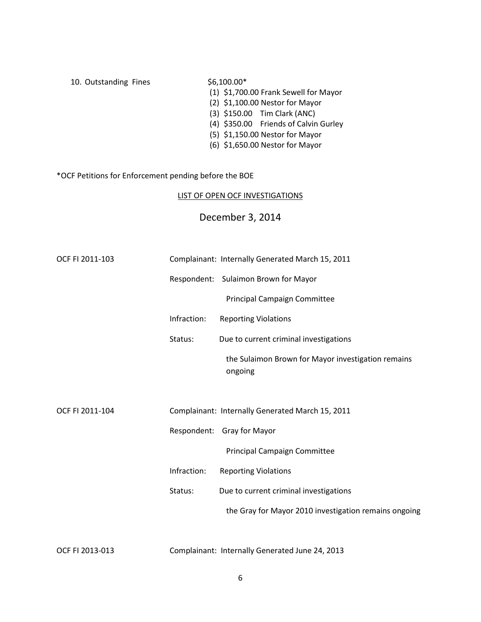| 10. Outstanding Fines | $$6,100.00*$                          |
|-----------------------|---------------------------------------|
|                       | (1) \$1,700.00 Frank Sewell for Mayor |
|                       | (2) \$1,100.00 Nestor for Mayor       |
|                       | (3) \$150.00 Tim Clark (ANC)          |
|                       | (4) \$350.00 Friends of Calvin Gurley |
|                       | (5) \$1,150.00 Nestor for Mayor       |
|                       | (6) \$1,650.00 Nestor for Mayor       |

# \*OCF Petitions for Enforcement pending before the BOE

#### LIST OF OPEN OCF INVESTIGATIONS

# December 3, 2014

| OCF FI 2011-103 |             | Complainant: Internally Generated March 15, 2011              |
|-----------------|-------------|---------------------------------------------------------------|
|                 |             | Respondent: Sulaimon Brown for Mayor                          |
|                 |             | Principal Campaign Committee                                  |
|                 | Infraction: | <b>Reporting Violations</b>                                   |
|                 | Status:     | Due to current criminal investigations                        |
|                 |             | the Sulaimon Brown for Mayor investigation remains<br>ongoing |
|                 |             |                                                               |
| OCF FI 2011-104 |             | Complainant: Internally Generated March 15, 2011              |
|                 |             | Respondent: Gray for Mayor                                    |
|                 |             | Principal Campaign Committee                                  |
|                 | Infraction: | <b>Reporting Violations</b>                                   |
|                 | Status:     | Due to current criminal investigations                        |
|                 |             | the Gray for Mayor 2010 investigation remains ongoing         |
|                 |             |                                                               |

OCF FI 2013-013 Complainant: Internally Generated June 24, 2013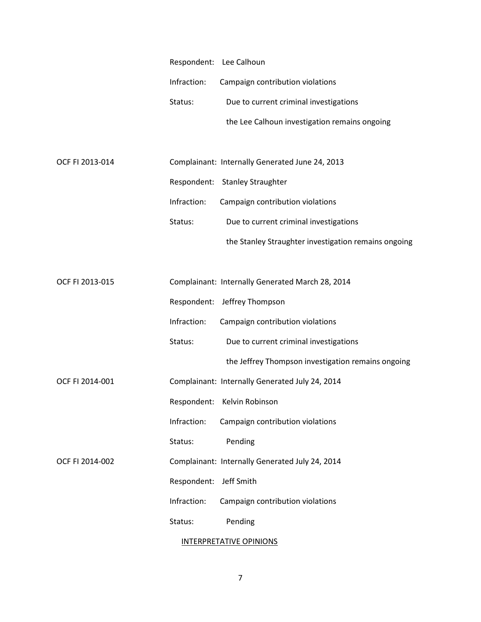|                 | Respondent: Lee Calhoun |                                                      |
|-----------------|-------------------------|------------------------------------------------------|
|                 | Infraction:             | Campaign contribution violations                     |
|                 | Status:                 | Due to current criminal investigations               |
|                 |                         | the Lee Calhoun investigation remains ongoing        |
|                 |                         |                                                      |
| OCF FI 2013-014 |                         | Complainant: Internally Generated June 24, 2013      |
|                 |                         | Respondent: Stanley Straughter                       |
|                 | Infraction:             | Campaign contribution violations                     |
|                 | Status:                 | Due to current criminal investigations               |
|                 |                         | the Stanley Straughter investigation remains ongoing |
|                 |                         |                                                      |
| OCF FI 2013-015 |                         | Complainant: Internally Generated March 28, 2014     |
|                 |                         | Respondent: Jeffrey Thompson                         |
|                 | Infraction:             | Campaign contribution violations                     |
|                 | Status:                 | Due to current criminal investigations               |
|                 |                         | the Jeffrey Thompson investigation remains ongoing   |
| OCF FI 2014-001 |                         | Complainant: Internally Generated July 24, 2014      |
|                 | Respondent:             | Kelvin Robinson                                      |
|                 | Infraction:             | Campaign contribution violations                     |
|                 | Status:                 | Pending                                              |
| OCF FI 2014-002 |                         | Complainant: Internally Generated July 24, 2014      |
|                 | Respondent:             | Jeff Smith                                           |
|                 | Infraction:             | Campaign contribution violations                     |
|                 | Status:                 | Pending                                              |
|                 |                         | <b>INTERPRETATIVE OPINIONS</b>                       |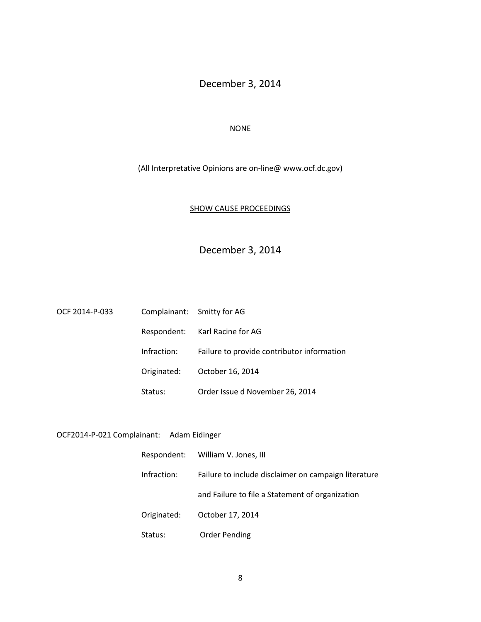# December 3, 2014

#### NONE

#### (All Interpretative Opinions are on-line@ www.ocf.dc.gov)

#### SHOW CAUSE PROCEEDINGS

# December 3, 2014

| OCF 2014-P-033 |             | Complainant: Smitty for AG                 |
|----------------|-------------|--------------------------------------------|
|                |             | Respondent: Karl Racine for AG             |
|                | Infraction: | Failure to provide contributor information |
|                | Originated: | October 16, 2014                           |
|                | Status:     | Order Issue d November 26, 2014            |

# OCF2014-P-021 Complainant: Adam Eidinger

|             | Respondent: William V. Jones, III                    |  |  |
|-------------|------------------------------------------------------|--|--|
| Infraction: | Failure to include disclaimer on campaign literature |  |  |
|             | and Failure to file a Statement of organization      |  |  |
| Originated: | October 17, 2014                                     |  |  |
| Status:     | <b>Order Pending</b>                                 |  |  |